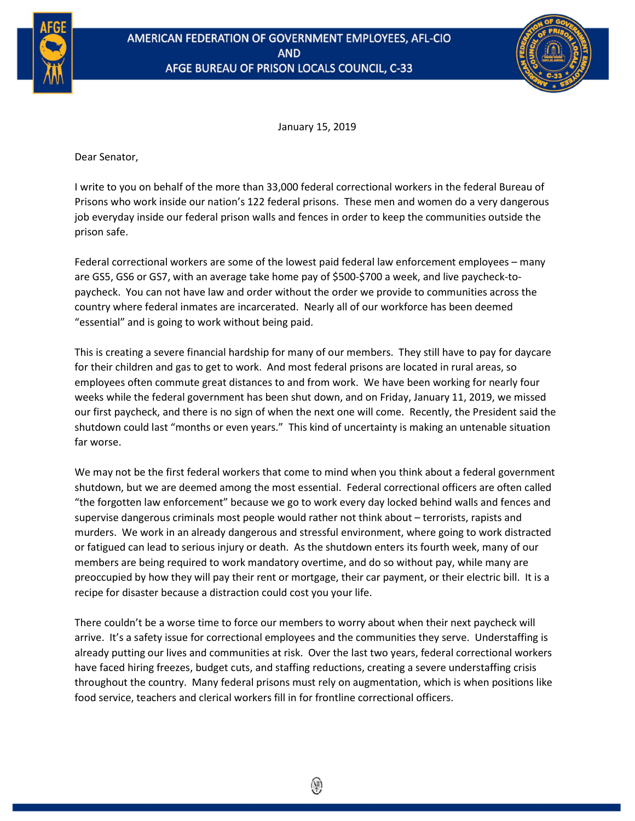

## AMERICAN FEDERATION OF GOVERNMENT EMPLOYEES, AFL-CIO **AND** AFGE BUREAU OF PRISON LOCALS COUNCIL, C-33



January 15, 2019

Dear Senator,

I write to you on behalf of the more than 33,000 federal correctional workers in the federal Bureau of Prisons who work inside our nation's 122 federal prisons. These men and women do a very dangerous job everyday inside our federal prison walls and fences in order to keep the communities outside the prison safe.

Federal correctional workers are some of the lowest paid federal law enforcement employees – many are GS5, GS6 or GS7, with an average take home pay of \$500-\$700 a week, and live paycheck-topaycheck. You can not have law and order without the order we provide to communities across the country where federal inmates are incarcerated. Nearly all of our workforce has been deemed "essential" and is going to work without being paid.

This is creating a severe financial hardship for many of our members. They still have to pay for daycare for their children and gas to get to work. And most federal prisons are located in rural areas, so employees often commute great distances to and from work. We have been working for nearly four weeks while the federal government has been shut down, and on Friday, January 11, 2019, we missed our first paycheck, and there is no sign of when the next one will come. Recently, the President said the shutdown could last "months or even years." This kind of uncertainty is making an untenable situation far worse.

We may not be the first federal workers that come to mind when you think about a federal government shutdown, but we are deemed among the most essential. Federal correctional officers are often called "the forgotten law enforcement" because we go to work every day locked behind walls and fences and supervise dangerous criminals most people would rather not think about – terrorists, rapists and murders. We work in an already dangerous and stressful environment, where going to work distracted or fatigued can lead to serious injury or death. As the shutdown enters its fourth week, many of our members are being required to work mandatory overtime, and do so without pay, while many are preoccupied by how they will pay their rent or mortgage, their car payment, or their electric bill. It is a recipe for disaster because a distraction could cost you your life.

There couldn't be a worse time to force our members to worry about when their next paycheck will arrive. It's a safety issue for correctional employees and the communities they serve. Understaffing is already putting our lives and communities at risk. Over the last two years, federal correctional workers have faced hiring freezes, budget cuts, and staffing reductions, creating a severe understaffing crisis throughout the country. Many federal prisons must rely on augmentation, which is when positions like food service, teachers and clerical workers fill in for frontline correctional officers.

 $\circledast$